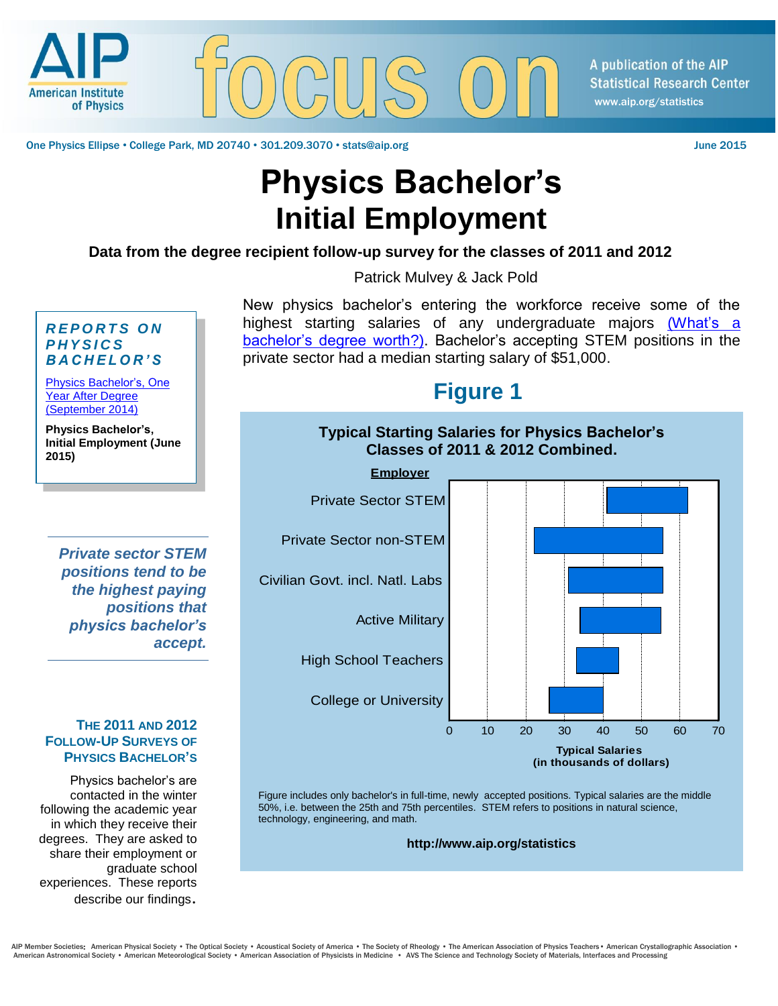

A publication of the AIP **Statistical Research Center** www.aip.org/statistics

One Physics Ellipse • College Park, MD 20740 • 301.209.3070 • stats@aip.org June 2015

# **Physics Bachelor's Initial Employment**

**Data from the degree recipient follow-up survey for the classes of 2011 and 2012**

Patrick Mulvey & Jack Pold

New physics bachelor's entering the workforce receive some of the highest starting salaries of any undergraduate majors [\(What's](http://www.aip.org/statistics/physics-trends/whats-bachelors-degree-worth) a [bachelor's degree worth?\).](http://www.aip.org/statistics/physics-trends/whats-bachelors-degree-worth) Bachelor's accepting STEM positions in the private sector had a median starting salary of \$51,000.

## **Figure 1**



Figure includes only bachelor's in full-time, newly accepted positions. Typical salaries are the middle 50%, i.e. between the 25th and 75th percentiles. STEM refers to positions in natural science, technology, engineering, and math.

**http://www.aip.org/statistics**

### *R E P O R T S O N P H Y S I C S B A C H E L O R ' S* [Physics Bachelor's, One](https://www.aip.org/statistics/reports/physics-bachelors-one-year-after-degree)

[Year After Degree](https://www.aip.org/statistics/reports/physics-bachelors-one-year-after-degree) [\(September 2014\)](https://www.aip.org/statistics/reports/physics-bachelors-one-year-after-degree)

**Physics Bachelor's, Initial Employment (June 2015)**

*Private sector STEM positions tend to be the highest paying positions that physics bachelor's accept.*

### **THE 2011 AND 2012 FOLLOW-UP SURVEYS OF PHYSICS BACHELOR'S**

Physics bachelor's are contacted in the winter following the academic year in which they receive their degrees. They are asked to share their employment or graduate school experiences. These reports describe our findings.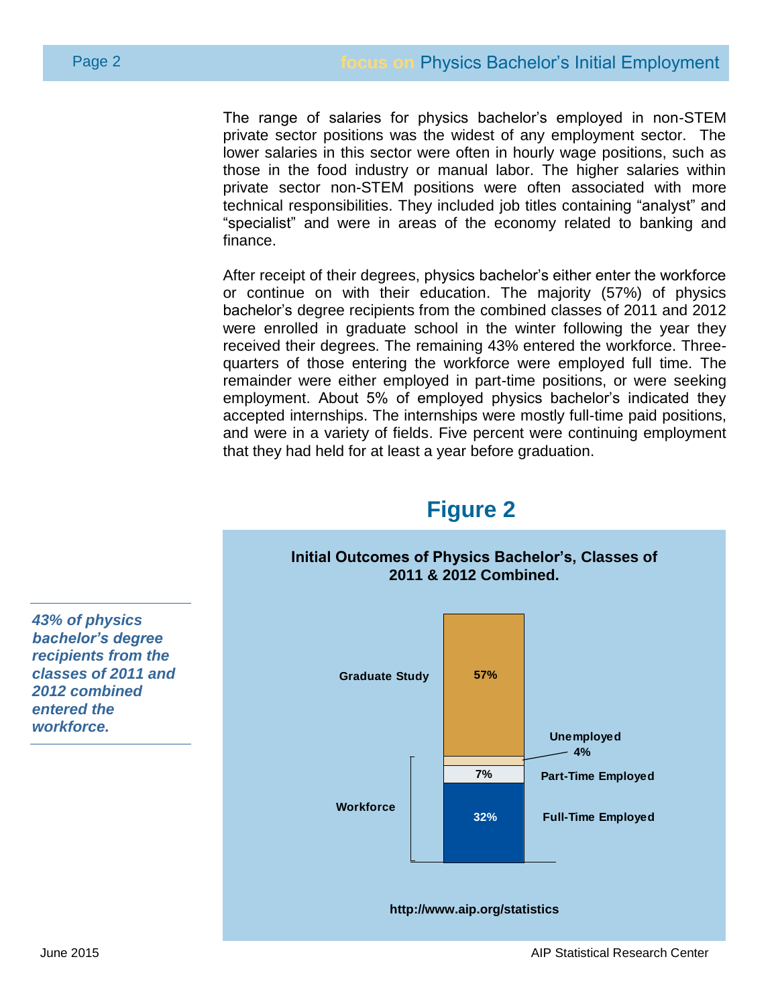The range of salaries for physics bachelor's employed in non-STEM private sector positions was the widest of any employment sector. The lower salaries in this sector were often in hourly wage positions, such as those in the food industry or manual labor. The higher salaries within private sector non-STEM positions were often associated with more technical responsibilities. They included job titles containing "analyst" and "specialist" and were in areas of the economy related to banking and finance.

After receipt of their degrees, physics bachelor's either enter the workforce or continue on with their education. The majority (57%) of physics bachelor's degree recipients from the combined classes of 2011 and 2012 were enrolled in graduate school in the winter following the year they received their degrees. The remaining 43% entered the workforce. Threequarters of those entering the workforce were employed full time. The remainder were either employed in part-time positions, or were seeking employment. About 5% of employed physics bachelor's indicated they accepted internships. The internships were mostly full-time paid positions, and were in a variety of fields. Five percent were continuing employment that they had held for at least a year before graduation.



**Figure 2**

*43% of physics bachelor's degree recipients from the classes of 2011 and 2012 combined entered the workforce.*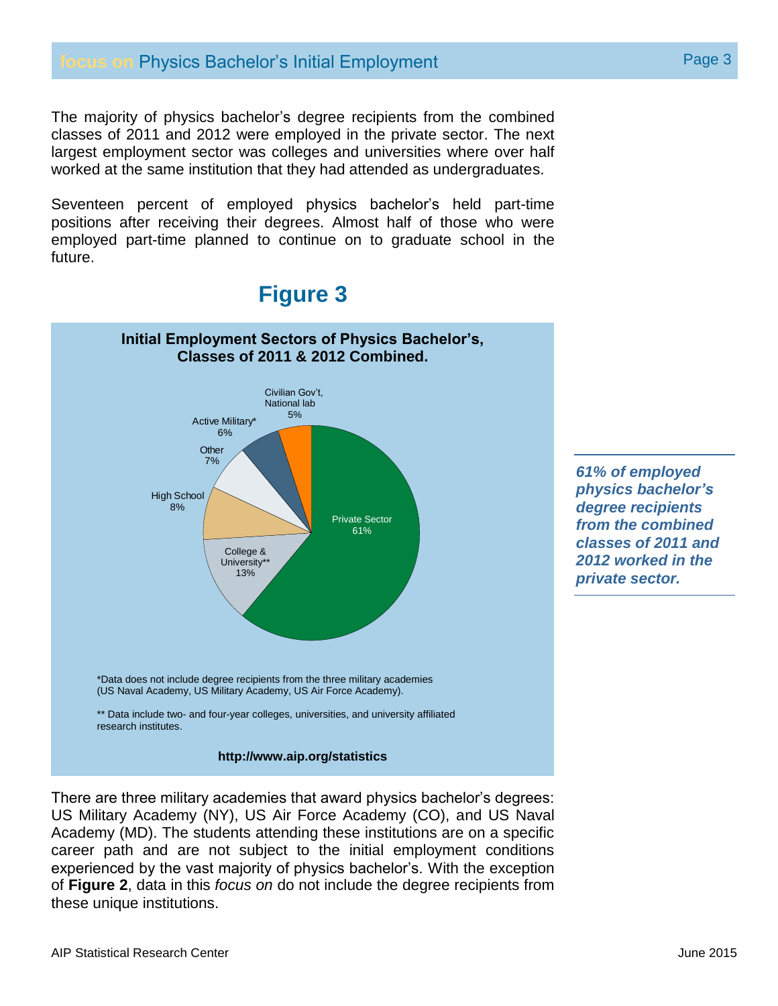The majority of physics bachelor's degree recipients from the combined classes of 2011 and 2012 were employed in the private sector. The next largest employment sector was colleges and universities where over half worked at the same institution that they had attended as undergraduates.

Seventeen percent of employed physics bachelor's held part-time positions after receiving their degrees. Almost half of those who were employed part-time planned to continue on to graduate school in the future.

## **Figure 3**



### **http://www.aip.org/statistics**

There are three military academies that award physics bachelor's degrees: US Military Academy (NY), US Air Force Academy (CO), and US Naval Academy (MD). The students attending these institutions are on a specific career path and are not subject to the initial employment conditions experienced by the vast majority of physics bachelor's. With the exception of **Figure 2**, data in this *focus on* do not include the degree recipients from these unique institutions.

*61% of employed physics bachelor's degree recipients from the combined classes of 2011 and 2012 worked in the private sector.*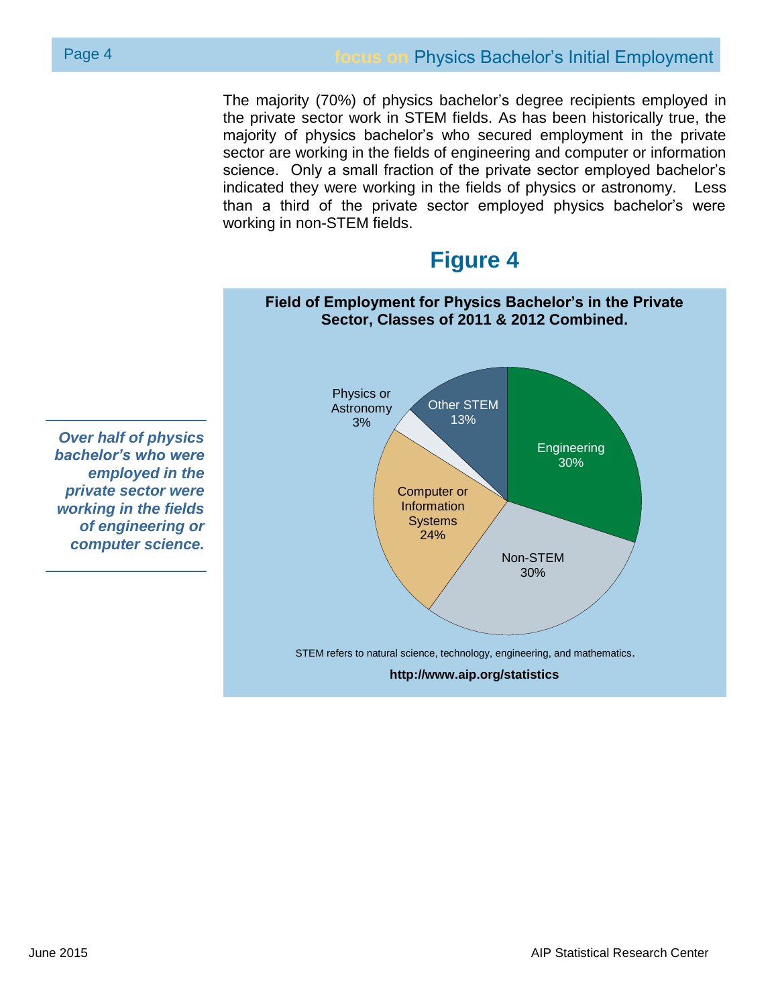The majority (70%) of physics bachelor's degree recipients employed in the private sector work in STEM fields. As has been historically true, the majority of physics bachelor's who secured employment in the private sector are working in the fields of engineering and computer or information science. Only a small fraction of the private sector employed bachelor's indicated they were working in the fields of physics or astronomy. Less than a third of the private sector employed physics bachelor's were working in non-STEM fields.

## **Figure 4**

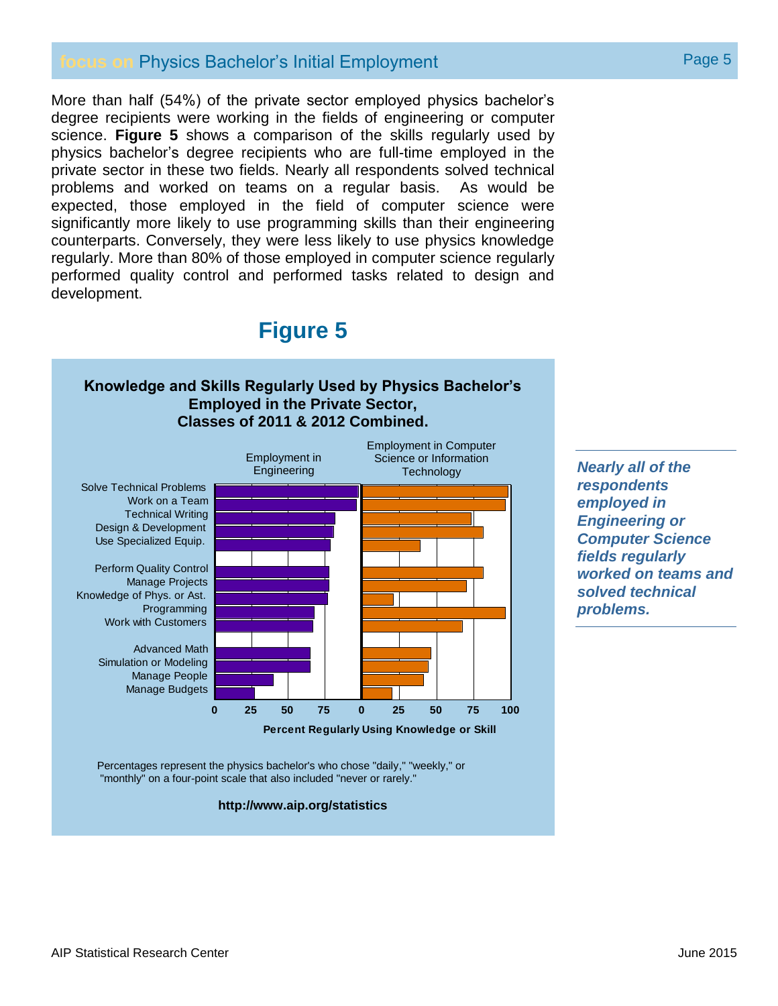### **focus on Physics Bachelor's Initial Employment** Page 5

More than half (54%) of the private sector employed physics bachelor's degree recipients were working in the fields of engineering or computer science. **Figure 5** shows a comparison of the skills regularly used by physics bachelor's degree recipients who are full-time employed in the private sector in these two fields. Nearly all respondents solved technical problems and worked on teams on a regular basis. As would be expected, those employed in the field of computer science were significantly more likely to use programming skills than their engineering counterparts. Conversely, they were less likely to use physics knowledge regularly. More than 80% of those employed in computer science regularly performed quality control and performed tasks related to design and development.

## **Figure 5**

### **Knowledge and Skills Regularly Used by Physics Bachelor's Employed in the Private Sector, Classes of 2011 & 2012 Combined.**



*respondents employed in Engineering or Computer Science fields regularly worked on teams and solved technical problems.*

Percentages represent the physics bachelor's who chose "daily," "weekly," or "monthly" on a four-point scale that also included "never or rarely."

#### **http://www.aip.org/statistics**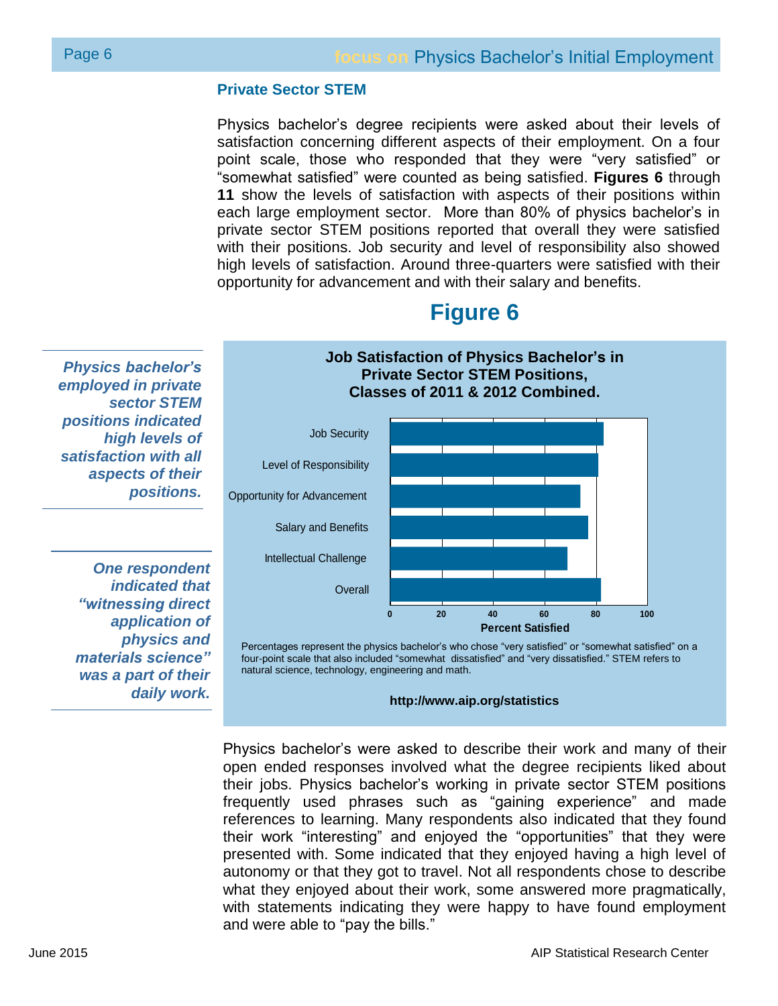### **Private Sector STEM**

Physics bachelor's degree recipients were asked about their levels of satisfaction concerning different aspects of their employment. On a four point scale, those who responded that they were "very satisfied" or "somewhat satisfied" were counted as being satisfied. **Figures 6** through **11** show the levels of satisfaction with aspects of their positions within each large employment sector. More than 80% of physics bachelor's in private sector STEM positions reported that overall they were satisfied with their positions. Job security and level of responsibility also showed high levels of satisfaction. Around three-quarters were satisfied with their opportunity for advancement and with their salary and benefits.

## **Figure 6**

**Job Satisfaction of Physics Bachelor's in Private Sector STEM Positions,**

*Physics bachelor's employed in private sector STEM positions indicated high levels of satisfaction with all aspects of their positions.*

*One respondent indicated that "witnessing direct application of physics and materials science" was a part of their daily work.*



Percentages represent the physics bachelor's who chose "very satisfied" or "somewhat satisfied" on a four-point scale that also included "somewhat dissatisfied" and "very dissatisfied." STEM refers to natural science, technology, engineering and math.

#### **http://www.aip.org/statistics**

Physics bachelor's were asked to describe their work and many of their open ended responses involved what the degree recipients liked about their jobs. Physics bachelor's working in private sector STEM positions frequently used phrases such as "gaining experience" and made references to learning. Many respondents also indicated that they found their work "interesting" and enjoyed the "opportunities" that they were presented with. Some indicated that they enjoyed having a high level of autonomy or that they got to travel. Not all respondents chose to describe what they enjoyed about their work, some answered more pragmatically, with statements indicating they were happy to have found employment and were able to "pay the bills."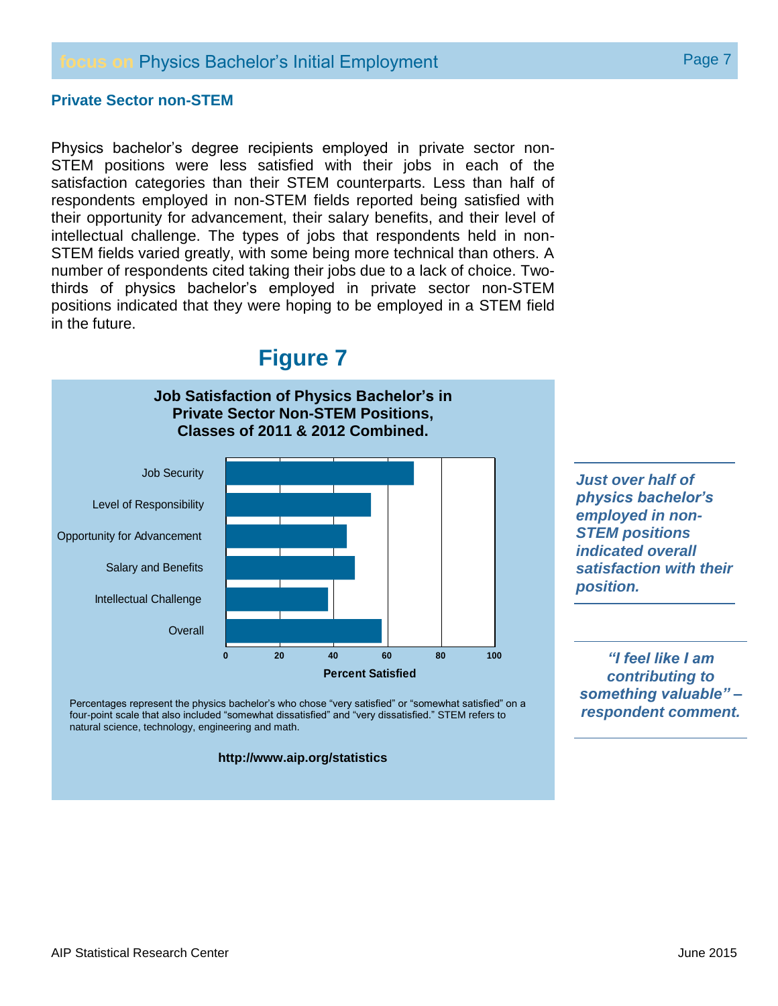### **focus on Physics Bachelor's Initial Employment Example 2 Page 7 Page 7**

### **Private Sector non-STEM**

Physics bachelor's degree recipients employed in private sector non-STEM positions were less satisfied with their jobs in each of the satisfaction categories than their STEM counterparts. Less than half of respondents employed in non-STEM fields reported being satisfied with their opportunity for advancement, their salary benefits, and their level of intellectual challenge. The types of jobs that respondents held in non-STEM fields varied greatly, with some being more technical than others. A number of respondents cited taking their jobs due to a lack of choice. Twothirds of physics bachelor's employed in private sector non-STEM positions indicated that they were hoping to be employed in a STEM field in the future.

## **Figure 7**



Percentages represent the physics bachelor's who chose "very satisfied" or "somewhat satisfied" on a four-point scale that also included "somewhat dissatisfied" and "very dissatisfied." STEM refers to natural science, technology, engineering and math.

#### **http://www.aip.org/statistics**

*Just over half of physics bachelor's employed in non-STEM positions indicated overall satisfaction with their position.*

*"I feel like I am contributing to something valuable" – respondent comment.*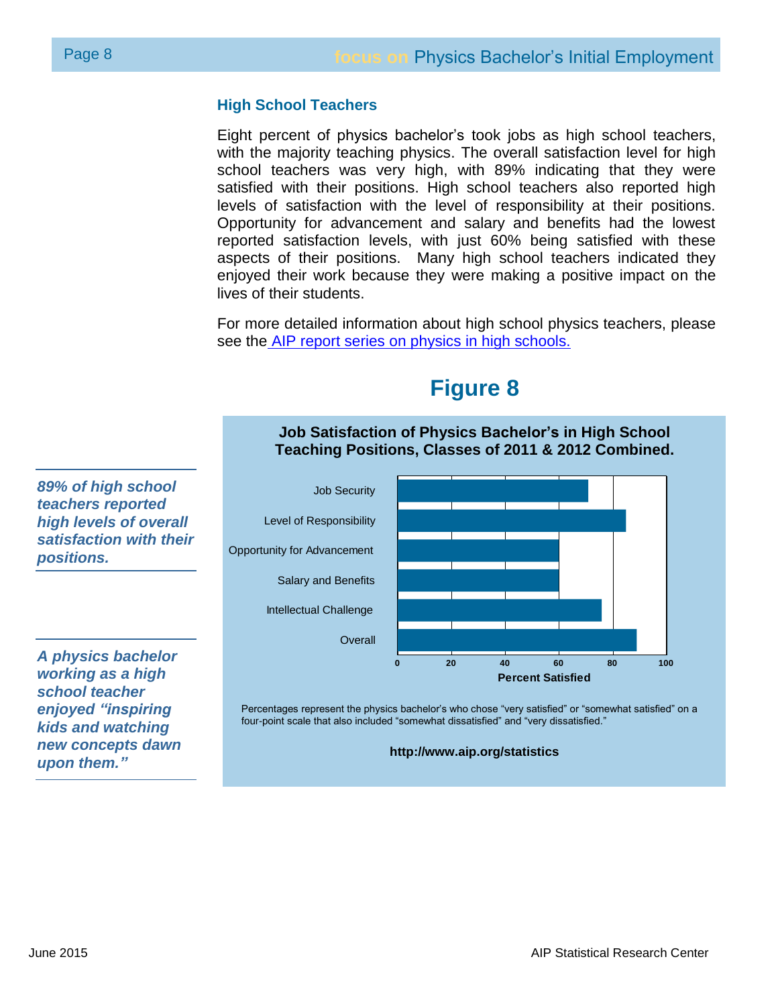### **High School Teachers**

Eight percent of physics bachelor's took jobs as high school teachers, with the majority teaching physics. The overall satisfaction level for high school teachers was very high, with 89% indicating that they were satisfied with their positions. High school teachers also reported high levels of satisfaction with the level of responsibility at their positions. Opportunity for advancement and salary and benefits had the lowest reported satisfaction levels, with just 60% being satisfied with these aspects of their positions. Many high school teachers indicated they enjoyed their work because they were making a positive impact on the lives of their students.

For more detailed information about high school physics teachers, please see the [AIP report series on physics in high schools.](https://www.aip.org/statistics/highschool)



**Figure 8**

Percentages represent the physics bachelor's who chose "very satisfied" or "somewhat satisfied" on a four-point scale that also included "somewhat dissatisfied" and "very dissatisfied."

**http://www.aip.org/statistics**

*enjoyed "inspiring kids and watching new concepts dawn* 

*upon them."*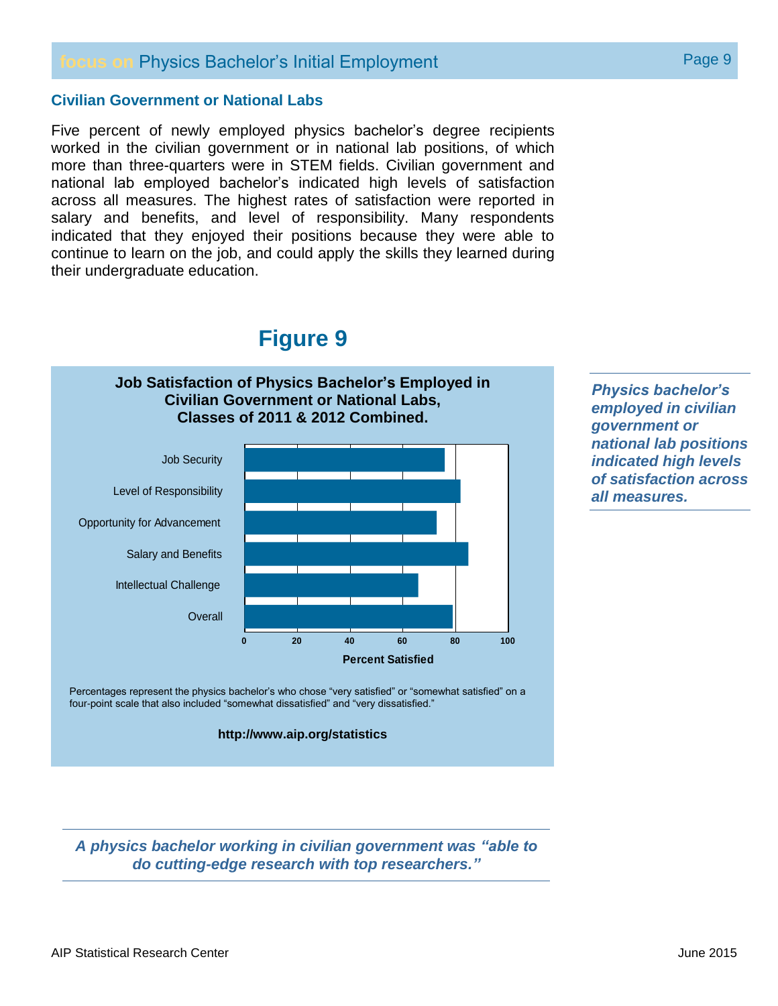### **focus on Physics Bachelor's Initial Employment Example 2018 Page 9**

### **Civilian Government or National Labs**

Five percent of newly employed physics bachelor's degree recipients worked in the civilian government or in national lab positions, of which more than three-quarters were in STEM fields. Civilian government and national lab employed bachelor's indicated high levels of satisfaction across all measures. The highest rates of satisfaction were reported in salary and benefits, and level of responsibility. Many respondents indicated that they enjoyed their positions because they were able to continue to learn on the job, and could apply the skills they learned during their undergraduate education.

## **Figure 9**



*Physics bachelor's employed in civilian government or national lab positions indicated high levels of satisfaction across all measures.*

Percentages represent the physics bachelor's who chose "very satisfied" or "somewhat satisfied" on a four-point scale that also included "somewhat dissatisfied" and "very dissatisfied."

#### **http://www.aip.org/statistics**

*A physics bachelor working in civilian government was "able to do cutting-edge research with top researchers."*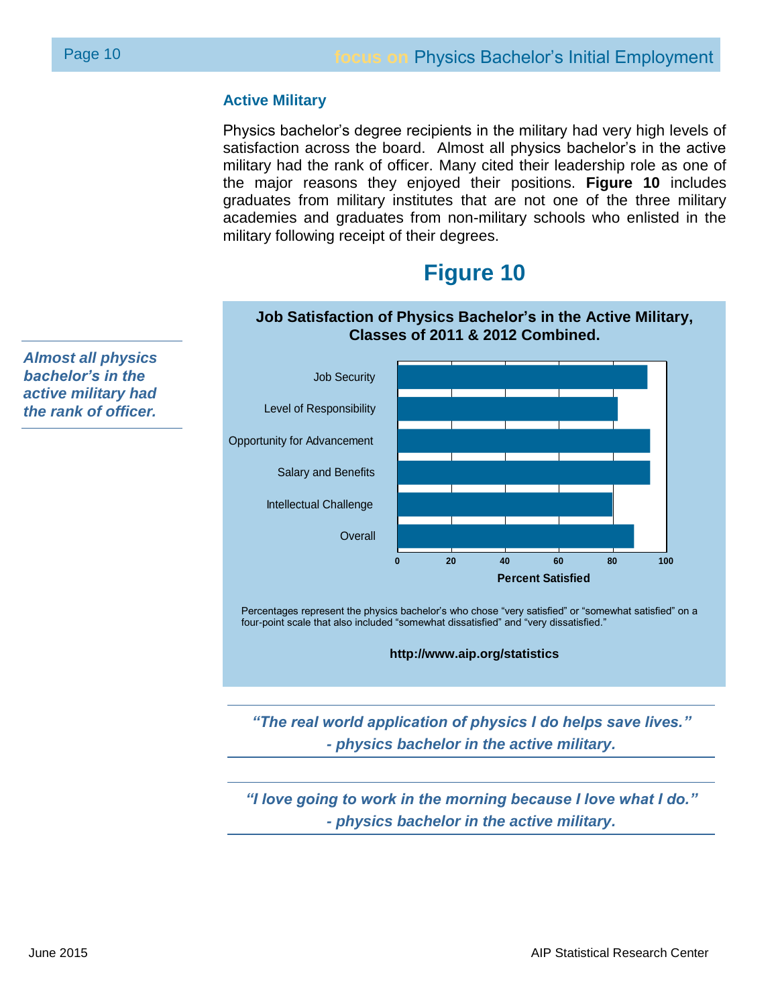### **Active Military**

Physics bachelor's degree recipients in the military had very high levels of satisfaction across the board. Almost all physics bachelor's in the active military had the rank of officer. Many cited their leadership role as one of the major reasons they enjoyed their positions. **Figure 10** includes graduates from military institutes that are not one of the three military academies and graduates from non-military schools who enlisted in the military following receipt of their degrees.

## **Figure 10**

**Job Satisfaction of Physics Bachelor's in the Active Military,**



Percentages represent the physics bachelor's who chose "very satisfied" or "somewhat satisfied" on a four-point scale that also included "somewhat dissatisfied" and "very dissatisfied."

**http://www.aip.org/statistics**

*"The real world application of physics I do helps save lives." - physics bachelor in the active military.*

*"I love going to work in the morning because I love what I do." - physics bachelor in the active military.*

*Almost all physics bachelor's in the active military had the rank of officer.*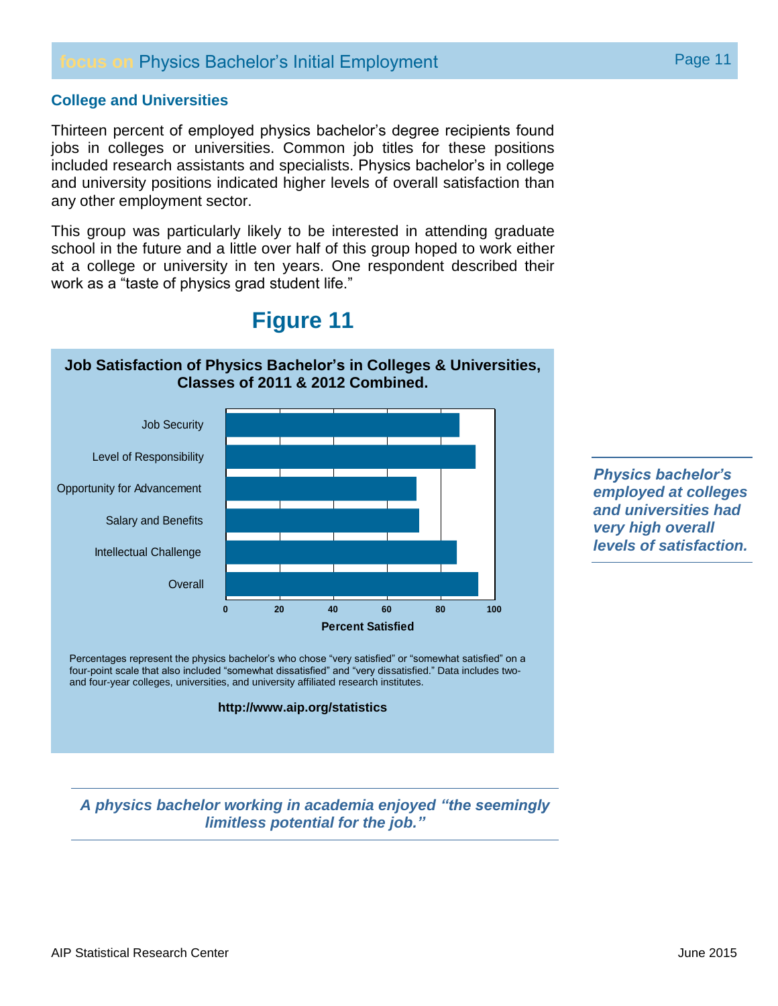### **focus on Physics Bachelor's Initial Employment Page 11** Page 11

### **College and Universities**

Thirteen percent of employed physics bachelor's degree recipients found jobs in colleges or universities. Common job titles for these positions included research assistants and specialists. Physics bachelor's in college and university positions indicated higher levels of overall satisfaction than any other employment sector.

This group was particularly likely to be interested in attending graduate school in the future and a little over half of this group hoped to work either at a college or university in ten years. One respondent described their work as a "taste of physics grad student life."



**Figure 11**

*Physics bachelor's employed at colleges and universities had very high overall levels of satisfaction.*

Percentages represent the physics bachelor's who chose "very satisfied" or "somewhat satisfied" on a four-point scale that also included "somewhat dissatisfied" and "very dissatisfied." Data includes twoand four-year colleges, universities, and university affiliated research institutes.

#### **http://www.aip.org/statistics**

*A physics bachelor working in academia enjoyed "the seemingly limitless potential for the job."*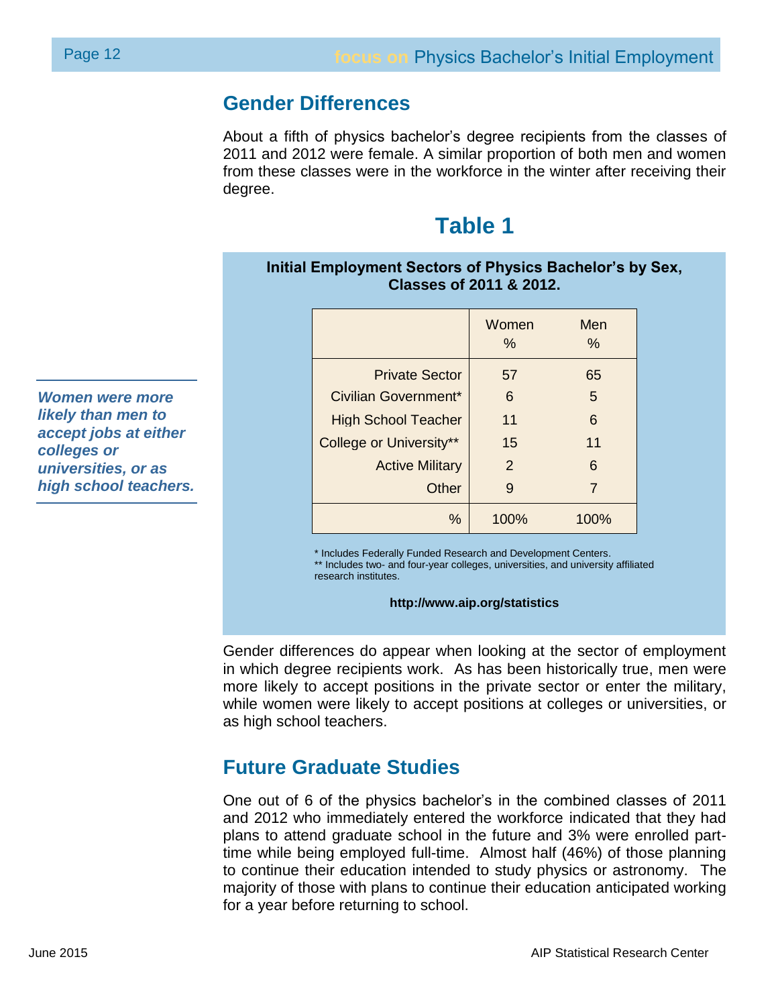### **Gender Differences**

About a fifth of physics bachelor's degree recipients from the classes of 2011 and 2012 were female. A similar proportion of both men and women from these classes were in the workforce in the winter after receiving their degree.

## **Table 1**

### **Initial Employment Sectors of Physics Bachelor's by Sex, Classes of 2011 & 2012.**

|                            | Women<br>$\%$ | Men<br>$\%$ |
|----------------------------|---------------|-------------|
| <b>Private Sector</b>      | 57            | 65          |
| Civilian Government*       | 6             | 5           |
| <b>High School Teacher</b> | 11            | 6           |
| College or University**    | 15            | 11          |
| <b>Active Military</b>     | 2             | 6           |
| Other                      | 9             | 7           |
| $\%$                       | 100%          | 100%        |

\* Includes Federally Funded Research and Development Centers.

\*\* Includes two- and four-year colleges, universities, and university affiliated research institutes.

### **http://www.aip.org/statistics**

Gender differences do appear when looking at the sector of employment in which degree recipients work. As has been historically true, men were more likely to accept positions in the private sector or enter the military, while women were likely to accept positions at colleges or universities, or as high school teachers.

## **Future Graduate Studies**

One out of 6 of the physics bachelor's in the combined classes of 2011 and 2012 who immediately entered the workforce indicated that they had plans to attend graduate school in the future and 3% were enrolled parttime while being employed full-time. Almost half (46%) of those planning to continue their education intended to study physics or astronomy. The majority of those with plans to continue their education anticipated working for a year before returning to school.

*Women were more likely than men to accept jobs at either colleges or universities, or as high school teachers.*